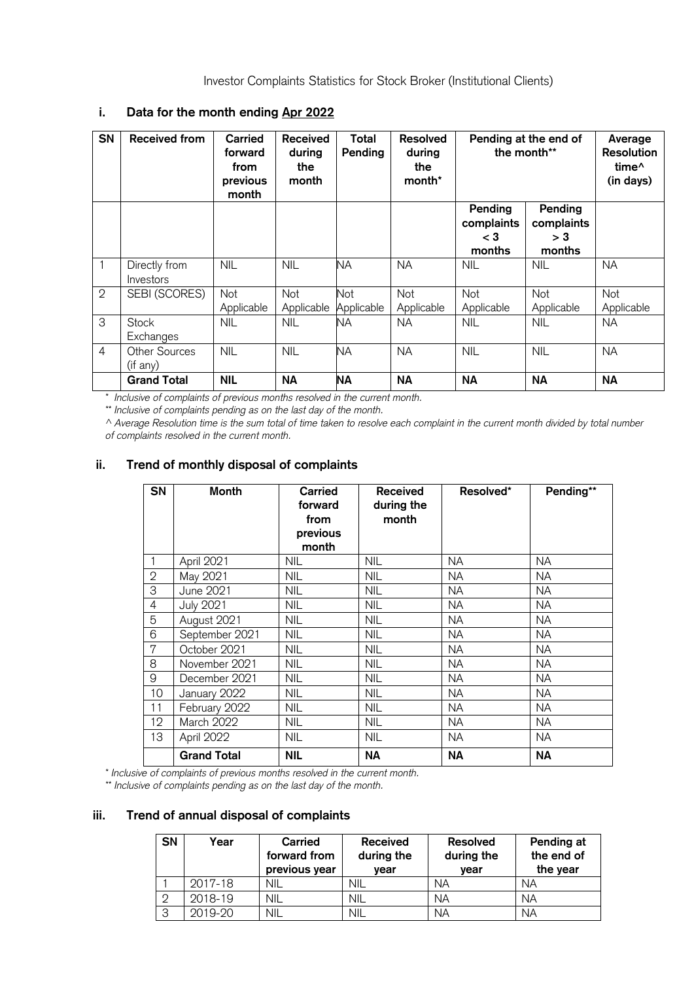Investor Complaints Statistics for Stock Broker (Institutional Clients)

| i.             | Data for the month ending Apr 2022 |                                                        |                                           |                   |                                            |                                          |                                        |                                                         |
|----------------|------------------------------------|--------------------------------------------------------|-------------------------------------------|-------------------|--------------------------------------------|------------------------------------------|----------------------------------------|---------------------------------------------------------|
| <b>SN</b>      | <b>Received from</b>               | <b>Carried</b><br>forward<br>from<br>previous<br>month | <b>Received</b><br>during<br>the<br>month | Total<br>Pending  | <b>Resolved</b><br>during<br>the<br>month* | Pending at the end of<br>the month**     |                                        | Average<br>Resolution<br>time <sup>^</sup><br>(in days) |
|                |                                    |                                                        |                                           |                   |                                            | Pending<br>complaints<br>$<$ 3<br>months | Pending<br>complaints<br>> 3<br>months |                                                         |
| $\mathbf{1}$   | Directly from<br>Investors         | <b>NIL</b>                                             | <b>NIL</b>                                | <b>NA</b>         | <b>NA</b>                                  | <b>NIL</b>                               | <b>NIL</b>                             | <b>NA</b>                                               |
| $\overline{2}$ | SEBI (SCORES)                      | Not<br>Applicable                                      | Not<br>Applicable                         | Not<br>Applicable | Not<br>Applicable                          | Not<br>Applicable                        | Not<br>Applicable                      | Not<br>Applicable                                       |
| $\overline{3}$ | <b>Stock</b><br>Exchanges          | <b>NIL</b>                                             | <b>NIL</b>                                | ΝA                | <b>NA</b>                                  | <b>NIL</b>                               | <b>NIL</b>                             | <b>NA</b>                                               |
| $\overline{4}$ | Other Sources<br>(if any)          | <b>NIL</b>                                             | <b>NIL</b>                                | <b>NA</b>         | <b>NA</b>                                  | <b>NIL</b>                               | <b>NIL</b>                             | <b>NA</b>                                               |
|                | <b>Grand Total</b>                 | <b>NIL</b>                                             | <b>NA</b>                                 | <b>NA</b>         | <b>NA</b>                                  | <b>NA</b>                                | <b>NA</b>                              | <b>NA</b>                                               |

## **i. Data for the month ending Apr 2022**

\* *Inclusive of complaints of previous months resolved in the current month.*

\*\* *Inclusive of complaints pending as on the last day of the month.*

^ *Average Resolution time is the sum total of time taken to resolve each complaint in the current month divided by total number of complaints resolved in the current month.*

## **ii. Trend of monthly disposal of complaints**

| <b>SN</b> | Month              | Carried<br>forward<br>from<br>previous<br>month | <b>Received</b><br>during the<br>month | Resolved* | Pending** |
|-----------|--------------------|-------------------------------------------------|----------------------------------------|-----------|-----------|
|           | April 2021         | <b>NIL</b>                                      | <b>NIL</b>                             | NA        | <b>NA</b> |
| 2         | May 2021           | <b>NIL</b>                                      | <b>NIL</b>                             | NA        | <b>NA</b> |
| 3         | June 2021          | <b>NIL</b>                                      | <b>NIL</b>                             | NA        | <b>NA</b> |
| 4         | <b>July 2021</b>   | <b>NIL</b>                                      | <b>NIL</b>                             | NA        | <b>NA</b> |
| 5         | August 2021        | <b>NIL</b>                                      | <b>NIL</b>                             | NA        | <b>NA</b> |
| 6         | September 2021     | <b>NIL</b>                                      | <b>NIL</b>                             | NA        | <b>NA</b> |
| 7         | October 2021       | <b>NIL</b>                                      | <b>NIL</b>                             | <b>NA</b> | <b>NA</b> |
| 8         | November 2021      | NIL.                                            | <b>NIL</b>                             | NA.       | NA.       |
| 9         | December 2021      | <b>NIL</b>                                      | <b>NIL</b>                             | NA        | <b>NA</b> |
| 10        | January 2022       | <b>NIL</b>                                      | <b>NIL</b>                             | NA        | <b>NA</b> |
| 11        | February 2022      | <b>NIL</b>                                      | <b>NIL</b>                             | NA        | <b>NA</b> |
| $12 \,$   | March 2022         | <b>NIL</b>                                      | <b>NIL</b>                             | NA        | <b>NA</b> |
| 13        | April 2022         | <b>NIL</b>                                      | <b>NIL</b>                             | NA        | <b>NA</b> |
|           | <b>Grand Total</b> | <b>NIL</b>                                      | <b>NA</b>                              | ΝA        | <b>NA</b> |

\* *Inclusive of complaints of previous months resolved in the current month.*

\*\* *Inclusive of complaints pending as on the last day of the month.*

## **iii. Trend of annual disposal of complaints**

| <b>SN</b>      | Year    | Carried<br>forward from<br>previous year | <b>Received</b><br>during the<br>vear | <b>Resolved</b><br>during the<br>year | Pending at<br>the end of<br>the year |
|----------------|---------|------------------------------------------|---------------------------------------|---------------------------------------|--------------------------------------|
|                | 2017-18 | <b>NIL</b>                               | NIL                                   | <b>NA</b>                             | <b>NA</b>                            |
| $\overline{2}$ | 2018-19 | NIL                                      | NIL                                   | <b>NA</b>                             | <b>NA</b>                            |
| 3              | 2019-20 | <b>NIL</b>                               | NIL                                   | <b>NA</b>                             | <b>NA</b>                            |